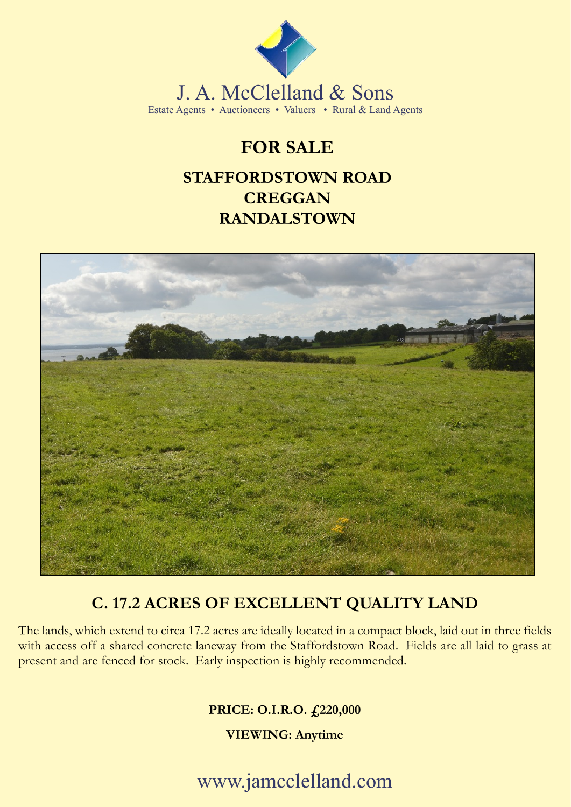

J. A. McClelland & Sons Estate Agents • Auctioneers • Valuers • Rural & Land Agents

## **FOR SALE**

### **STAFFORDSTOWN ROAD CREGGAN RANDALSTOWN**



### **C. 17.2 ACRES OF EXCELLENT QUALITY LAND**

The lands, which extend to circa 17.2 acres are ideally located in a compact block, laid out in three fields with access off a shared concrete laneway from the Staffordstown Road. Fields are all laid to grass at present and are fenced for stock. Early inspection is highly recommended.

**PRICE: O.I.R.O. £220,000**

**VIEWING: Anytime**

www.jamcclelland.com